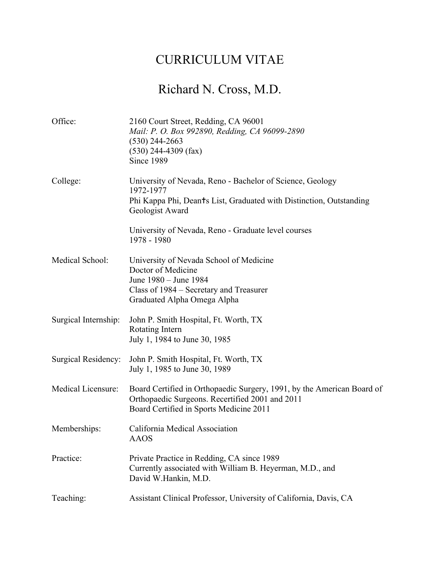## CURRICULUM VITAE

## Richard N. Cross, M.D.

| Office:              | 2160 Court Street, Redding, CA 96001<br>Mail: P. O. Box 992890, Redding, CA 96099-2890<br>$(530)$ 244-2663<br>$(530)$ 244-4309 (fax)<br>Since 1989                   |
|----------------------|----------------------------------------------------------------------------------------------------------------------------------------------------------------------|
| College:             | University of Nevada, Reno - Bachelor of Science, Geology<br>1972-1977<br>Phi Kappa Phi, Deants List, Graduated with Distinction, Outstanding<br>Geologist Award     |
|                      | University of Nevada, Reno - Graduate level courses<br>1978 - 1980                                                                                                   |
| Medical School:      | University of Nevada School of Medicine<br>Doctor of Medicine<br>June 1980 - June 1984<br>Class of 1984 - Secretary and Treasurer<br>Graduated Alpha Omega Alpha     |
| Surgical Internship: | John P. Smith Hospital, Ft. Worth, TX<br>Rotating Intern<br>July 1, 1984 to June 30, 1985                                                                            |
| Surgical Residency:  | John P. Smith Hospital, Ft. Worth, TX<br>July 1, 1985 to June 30, 1989                                                                                               |
| Medical Licensure:   | Board Certified in Orthopaedic Surgery, 1991, by the American Board of<br>Orthopaedic Surgeons. Recertified 2001 and 2011<br>Board Certified in Sports Medicine 2011 |
| Memberships:         | California Medical Association<br><b>AAOS</b>                                                                                                                        |
| Practice:            | Private Practice in Redding, CA since 1989<br>Currently associated with William B. Heyerman, M.D., and<br>David W.Hankin, M.D.                                       |
| Teaching:            | Assistant Clinical Professor, University of California, Davis, CA                                                                                                    |